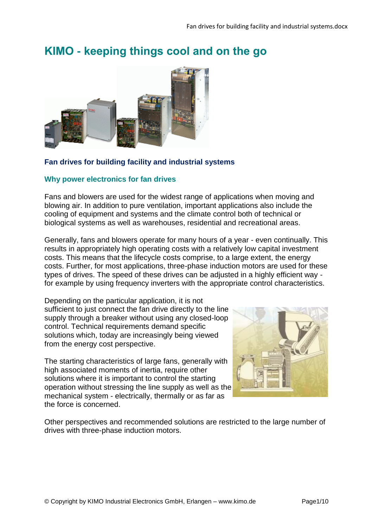# **KIMO - keeping things cool and on the go**



## **Fan drives for building facility and industrial systems**

## **Why power electronics for fan drives**

Fans and blowers are used for the widest range of applications when moving and blowing air. In addition to pure ventilation, important applications also include the cooling of equipment and systems and the climate control both of technical or biological systems as well as warehouses, residential and recreational areas.

Generally, fans and blowers operate for many hours of a year - even continually. This results in appropriately high operating costs with a relatively low capital investment costs. This means that the lifecycle costs comprise, to a large extent, the energy costs. Further, for most applications, three-phase induction motors are used for these types of drives. The speed of these drives can be adjusted in a highly efficient way for example by using frequency inverters with the appropriate control characteristics.

Depending on the particular application, it is not sufficient to just connect the fan drive directly to the line supply through a breaker without using any closed-loop control. Technical requirements demand specific solutions which, today are increasingly being viewed from the energy cost perspective.

The starting characteristics of large fans, generally with high associated moments of inertia, require other solutions where it is important to control the starting operation without stressing the line supply as well as the mechanical system - electrically, thermally or as far as the force is concerned.



Other perspectives and recommended solutions are restricted to the large number of drives with three-phase induction motors.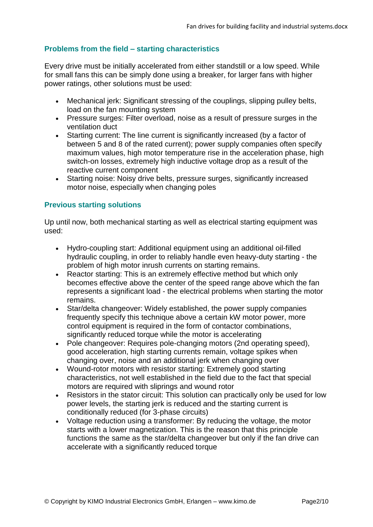## **Problems from the field – starting characteristics**

Every drive must be initially accelerated from either standstill or a low speed. While for small fans this can be simply done using a breaker, for larger fans with higher power ratings, other solutions must be used:

- Mechanical jerk: Significant stressing of the couplings, slipping pulley belts, load on the fan mounting system
- Pressure surges: Filter overload, noise as a result of pressure surges in the ventilation duct
- Starting current: The line current is significantly increased (by a factor of between 5 and 8 of the rated current); power supply companies often specify maximum values, high motor temperature rise in the acceleration phase, high switch-on losses, extremely high inductive voltage drop as a result of the reactive current component
- Starting noise: Noisy drive belts, pressure surges, significantly increased motor noise, especially when changing poles

## **Previous starting solutions**

Up until now, both mechanical starting as well as electrical starting equipment was used:

- Hydro-coupling start: Additional equipment using an additional oil-filled hydraulic coupling, in order to reliably handle even heavy-duty starting - the problem of high motor inrush currents on starting remains.
- Reactor starting: This is an extremely effective method but which only becomes effective above the center of the speed range above which the fan represents a significant load - the electrical problems when starting the motor remains.
- Star/delta changeover: Widely established, the power supply companies frequently specify this technique above a certain kW motor power, more control equipment is required in the form of contactor combinations, significantly reduced torque while the motor is accelerating
- Pole changeover: Requires pole-changing motors (2nd operating speed), good acceleration, high starting currents remain, voltage spikes when changing over, noise and an additional jerk when changing over
- Wound-rotor motors with resistor starting: Extremely good starting characteristics, not well established in the field due to the fact that special motors are required with sliprings and wound rotor
- Resistors in the stator circuit: This solution can practically only be used for low power levels, the starting jerk is reduced and the starting current is conditionally reduced (for 3-phase circuits)
- Voltage reduction using a transformer: By reducing the voltage, the motor starts with a lower magnetization. This is the reason that this principle functions the same as the star/delta changeover but only if the fan drive can accelerate with a significantly reduced torque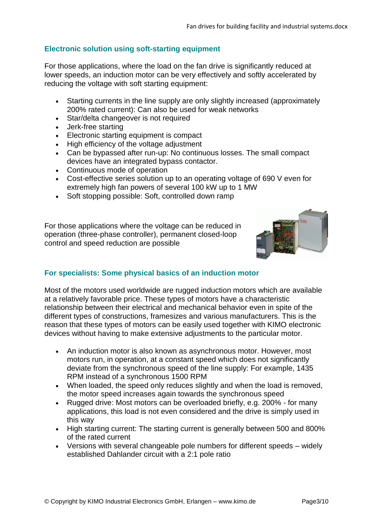## **Electronic solution using soft-starting equipment**

For those applications, where the load on the fan drive is significantly reduced at lower speeds, an induction motor can be very effectively and softly accelerated by reducing the voltage with soft starting equipment:

- Starting currents in the line supply are only slightly increased (approximately 200% rated current): Can also be used for weak networks
- Star/delta changeover is not required
- Jerk-free starting
- Electronic starting equipment is compact
- High efficiency of the voltage adjustment
- Can be bypassed after run-up: No continuous losses. The small compact devices have an integrated bypass contactor.
- Continuous mode of operation
- Cost-effective series solution up to an operating voltage of 690 V even for extremely high fan powers of several 100 kW up to 1 MW
- Soft stopping possible: Soft, controlled down ramp

For those applications where the voltage can be reduced in operation (three-phase controller), permanent closed-loop control and speed reduction are possible



### **For specialists: Some physical basics of an induction motor**

Most of the motors used worldwide are rugged induction motors which are available at a relatively favorable price. These types of motors have a characteristic relationship between their electrical and mechanical behavior even in spite of the different types of constructions, framesizes and various manufacturers. This is the reason that these types of motors can be easily used together with KIMO electronic devices without having to make extensive adjustments to the particular motor.

- An induction motor is also known as asynchronous motor. However, most motors run, in operation, at a constant speed which does not significantly deviate from the synchronous speed of the line supply: For example, 1435 RPM instead of a synchronous 1500 RPM
- When loaded, the speed only reduces slightly and when the load is removed, the motor speed increases again towards the synchronous speed
- Rugged drive: Most motors can be overloaded briefly, e.g. 200% for many applications, this load is not even considered and the drive is simply used in this way
- High starting current: The starting current is generally between 500 and 800% of the rated current
- Versions with several changeable pole numbers for different speeds widely established Dahlander circuit with a 2:1 pole ratio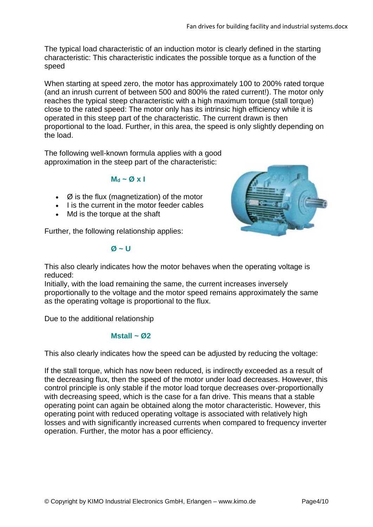The typical load characteristic of an induction motor is clearly defined in the starting characteristic: This characteristic indicates the possible torque as a function of the speed

When starting at speed zero, the motor has approximately 100 to 200% rated torque (and an inrush current of between 500 and 800% the rated current!). The motor only reaches the typical steep characteristic with a high maximum torque (stall torque) close to the rated speed: The motor only has its intrinsic high efficiency while it is operated in this steep part of the characteristic. The current drawn is then proportional to the load. Further, in this area, the speed is only slightly depending on the load.

The following well-known formula applies with a good approximation in the steep part of the characteristic:

### **M<sup>d</sup> ~ Ø x I**

- $\bullet$   $\varnothing$  is the flux (magnetization) of the motor
- I is the current in the motor feeder cables
- Md is the torque at the shaft

Further, the following relationship applies:

#### **Ø ~ U**



This also clearly indicates how the motor behaves when the operating voltage is reduced:

Initially, with the load remaining the same, the current increases inversely proportionally to the voltage and the motor speed remains approximately the same as the operating voltage is proportional to the flux.

Due to the additional relationship

### **Mstall ~ Ø2**

This also clearly indicates how the speed can be adjusted by reducing the voltage:

If the stall torque, which has now been reduced, is indirectly exceeded as a result of the decreasing flux, then the speed of the motor under load decreases. However, this control principle is only stable if the motor load torque decreases over-proportionally with decreasing speed, which is the case for a fan drive. This means that a stable operating point can again be obtained along the motor characteristic. However, this operating point with reduced operating voltage is associated with relatively high losses and with significantly increased currents when compared to frequency inverter operation. Further, the motor has a poor efficiency.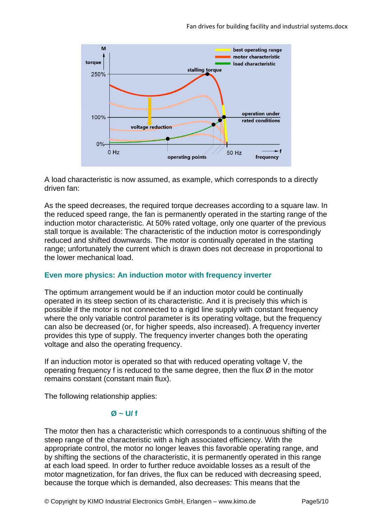

A load characteristic is now assumed, as example, which corresponds to a directly driven fan:

As the speed decreases, the required torque decreases according to a square law. In the reduced speed range, the fan is permanently operated in the starting range of the induction motor characteristic. At 50% rated voltage, only one quarter of the previous stall torque is available: The characteristic of the induction motor is correspondingly reduced and shifted downwards. The motor is continually operated in the starting range; unfortunately the current which is drawn does not decrease in proportional to the lower mechanical load.

### **Even more physics: An induction motor with frequency inverter**

The optimum arrangement would be if an induction motor could be continually operated in its steep section of its characteristic. And it is precisely this which is possible if the motor is not connected to a rigid line supply with constant frequency where the only variable control parameter is its operating voltage, but the frequency can also be decreased (or, for higher speeds, also increased). A frequency inverter provides this type of supply. The frequency inverter changes both the operating voltage and also the operating frequency.

If an induction motor is operated so that with reduced operating voltage V, the operating frequency f is reduced to the same degree, then the flux  $\varnothing$  in the motor remains constant (constant main flux).

The following relationship applies:

## **Ø ~ U/ f**

The motor then has a characteristic which corresponds to a continuous shifting of the steep range of the characteristic with a high associated efficiency. With the appropriate control, the motor no longer leaves this favorable operating range, and by shifting the sections of the characteristic, it is permanently operated in this range at each load speed. In order to further reduce avoidable losses as a result of the motor magnetization, for fan drives, the flux can be reduced with decreasing speed, because the torque which is demanded, also decreases: This means that the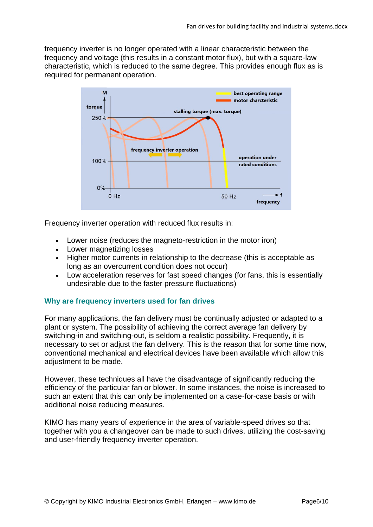frequency inverter is no longer operated with a linear characteristic between the frequency and voltage (this results in a constant motor flux), but with a square-law characteristic, which is reduced to the same degree. This provides enough flux as is required for permanent operation.



Frequency inverter operation with reduced flux results in:

- Lower noise (reduces the magneto-restriction in the motor iron)
- Lower magnetizing losses
- Higher motor currents in relationship to the decrease (this is acceptable as long as an overcurrent condition does not occur)
- Low acceleration reserves for fast speed changes (for fans, this is essentially undesirable due to the faster pressure fluctuations)

### **Why are frequency inverters used for fan drives**

For many applications, the fan delivery must be continually adjusted or adapted to a plant or system. The possibility of achieving the correct average fan delivery by switching-in and switching-out, is seldom a realistic possibility. Frequently, it is necessary to set or adjust the fan delivery. This is the reason that for some time now, conventional mechanical and electrical devices have been available which allow this adjustment to be made.

However, these techniques all have the disadvantage of significantly reducing the efficiency of the particular fan or blower. In some instances, the noise is increased to such an extent that this can only be implemented on a case-for-case basis or with additional noise reducing measures.

KIMO has many years of experience in the area of variable-speed drives so that together with you a changeover can be made to such drives, utilizing the cost-saving and user-friendly frequency inverter operation.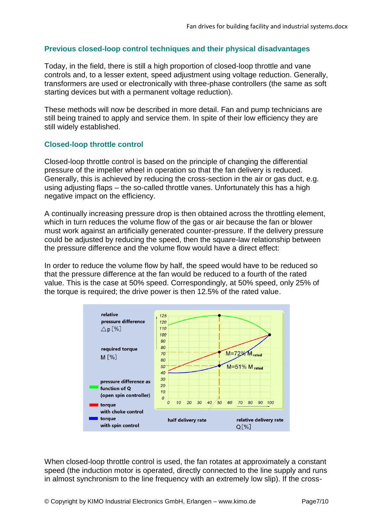## **Previous closed-loop control techniques and their physical disadvantages**

Today, in the field, there is still a high proportion of closed-loop throttle and vane controls and, to a lesser extent, speed adjustment using voltage reduction. Generally, transformers are used or electronically with three-phase controllers (the same as soft starting devices but with a permanent voltage reduction).

These methods will now be described in more detail. Fan and pump technicians are still being trained to apply and service them. In spite of their low efficiency they are still widely established.

### **Closed-loop throttle control**

Closed-loop throttle control is based on the principle of changing the differential pressure of the impeller wheel in operation so that the fan delivery is reduced. Generally, this is achieved by reducing the cross-section in the air or gas duct, e.g. using adjusting flaps – the so-called throttle vanes. Unfortunately this has a high negative impact on the efficiency.

A continually increasing pressure drop is then obtained across the throttling element, which in turn reduces the volume flow of the gas or air because the fan or blower must work against an artificially generated counter-pressure. If the delivery pressure could be adjusted by reducing the speed, then the square-law relationship between the pressure difference and the volume flow would have a direct effect:

In order to reduce the volume flow by half, the speed would have to be reduced so that the pressure difference at the fan would be reduced to a fourth of the rated value. This is the case at 50% speed. Correspondingly, at 50% speed, only 25% of the torque is required; the drive power is then 12.5% of the rated value.



When closed-loop throttle control is used, the fan rotates at approximately a constant speed (the induction motor is operated, directly connected to the line supply and runs in almost synchronism to the line frequency with an extremely low slip). If the cross-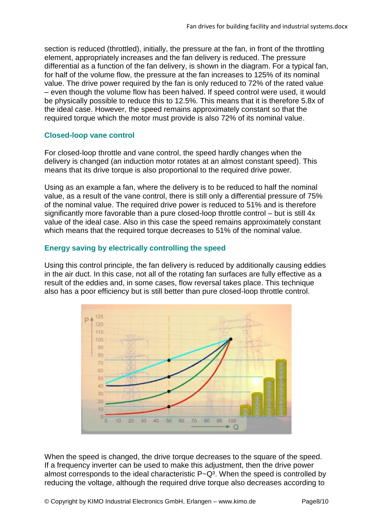section is reduced (throttled), initially, the pressure at the fan, in front of the throttling element, appropriately increases and the fan delivery is reduced. The pressure differential as a function of the fan delivery, is shown in the diagram. For a typical fan, for half of the volume flow, the pressure at the fan increases to 125% of its nominal value. The drive power required by the fan is only reduced to 72% of the rated value – even though the volume flow has been halved. If speed control were used, it would be physically possible to reduce this to 12.5%. This means that it is therefore 5.8x of the ideal case. However, the speed remains approximately constant so that the required torque which the motor must provide is also 72% of its nominal value.

### **Closed-loop vane control**

For closed-loop throttle and vane control, the speed hardly changes when the delivery is changed (an induction motor rotates at an almost constant speed). This means that its drive torque is also proportional to the required drive power.

Using as an example a fan, where the delivery is to be reduced to half the nominal value, as a result of the vane control, there is still only a differential pressure of 75% of the nominal value. The required drive power is reduced to 51% and is therefore significantly more favorable than a pure closed-loop throttle control – but is still 4x value of the ideal case. Also in this case the speed remains approximately constant which means that the required torque decreases to 51% of the nominal value.

## **Energy saving by electrically controlling the speed**

Using this control principle, the fan delivery is reduced by additionally causing eddies in the air duct. In this case, not all of the rotating fan surfaces are fully effective as a result of the eddies and, in some cases, flow reversal takes place. This technique also has a poor efficiency but is still better than pure closed-loop throttle control.



When the speed is changed, the drive torque decreases to the square of the speed. If a frequency inverter can be used to make this adjustment, then the drive power almost corresponds to the ideal characteristic  $P-Q<sup>3</sup>$ . When the speed is controlled by reducing the voltage, although the required drive torque also decreases according to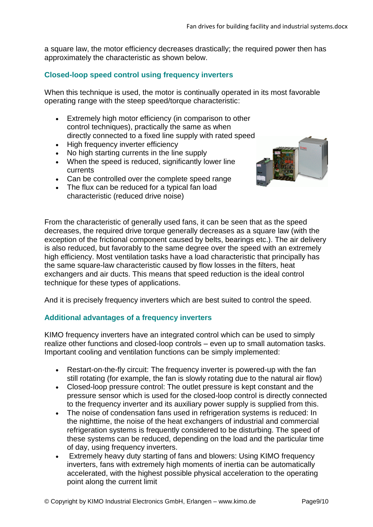a square law, the motor efficiency decreases drastically; the required power then has approximately the characteristic as shown below.

## **Closed-loop speed control using frequency inverters**

When this technique is used, the motor is continually operated in its most favorable operating range with the steep speed/torque characteristic:

- Extremely high motor efficiency (in comparison to other control techniques), practically the same as when directly connected to a fixed line supply with rated speed
- High frequency inverter efficiency
- No high starting currents in the line supply
- When the speed is reduced, significantly lower line currents
- Can be controlled over the complete speed range
- The flux can be reduced for a typical fan load characteristic (reduced drive noise)



From the characteristic of generally used fans, it can be seen that as the speed decreases, the required drive torque generally decreases as a square law (with the exception of the frictional component caused by belts, bearings etc.). The air delivery is also reduced, but favorably to the same degree over the speed with an extremely high efficiency. Most ventilation tasks have a load characteristic that principally has the same square-law characteristic caused by flow losses in the filters, heat exchangers and air ducts. This means that speed reduction is the ideal control technique for these types of applications.

And it is precisely frequency inverters which are best suited to control the speed.

### **Additional advantages of a frequency inverters**

KIMO frequency inverters have an integrated control which can be used to simply realize other functions and closed-loop controls – even up to small automation tasks. Important cooling and ventilation functions can be simply implemented:

- Restart-on-the-fly circuit: The frequency inverter is powered-up with the fan still rotating (for example, the fan is slowly rotating due to the natural air flow)
- Closed-loop pressure control: The outlet pressure is kept constant and the pressure sensor which is used for the closed-loop control is directly connected to the frequency inverter and its auxiliary power supply is supplied from this.
- The noise of condensation fans used in refrigeration systems is reduced: In the nighttime, the noise of the heat exchangers of industrial and commercial refrigeration systems is frequently considered to be disturbing. The speed of these systems can be reduced, depending on the load and the particular time of day, using frequency inverters.
- Extremely heavy duty starting of fans and blowers: Using KIMO frequency inverters, fans with extremely high moments of inertia can be automatically accelerated, with the highest possible physical acceleration to the operating point along the current limit